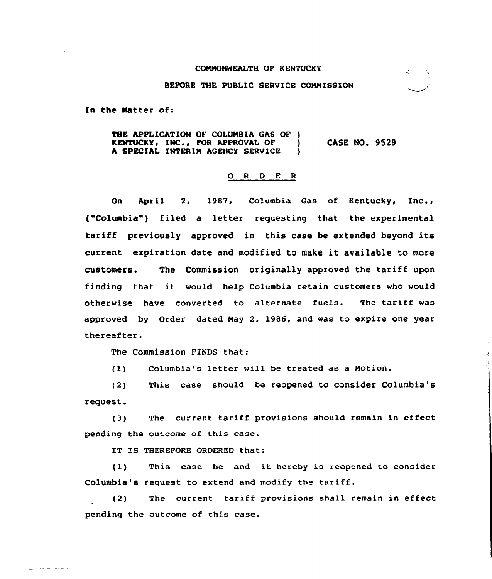## COMMONWEALTH OF K ENTUCKY

## BEFORE THE PUBLIC SERVICE CONNISSION

In the Natter of:

THE APPLICATION OF COLUMBIA GAS OF )<br>KENTUCKY, INC., FOR APPROVAL OF ) **KENTUCKY, INC., FOR APPROVAL OF )<br>A SPECIAL INTERIM AGENCY SERVICE )** A SPECIAL INTERIM AGENCY SERVICE CASE NO. 9529

## ORDER

On April 2, 19&7, Columbia Gas of Kentucky, Inc., { Coluabia ) filed <sup>a</sup> letter requesting that the experimental tariff previously approved in this case be extended beyond its current expiration date and modified to make it available to more customers. The Commission originally approved the tariff upon finding that it would help Columbia retain customers who would otherwise have converted to alternate fuels. The tariff was approved by Order dated Nay 2, 1986, and was to expire one year thereafter.

The Commission FINDS that:

(I) Columbia's letter will be treated as <sup>a</sup> Motion.

(2) This case should be reopened to consider Columbia's request.

(3) The current tariff provisions should remain in effect pending the outcome of this case.

IT IS THEREFORE ORDERED that:

(l) This case be and it hereby is reopened to consider Columbia's request to extend and modify the tariff.

(2) The current tariff provisions shall remain in effect pending the outcome of this case.